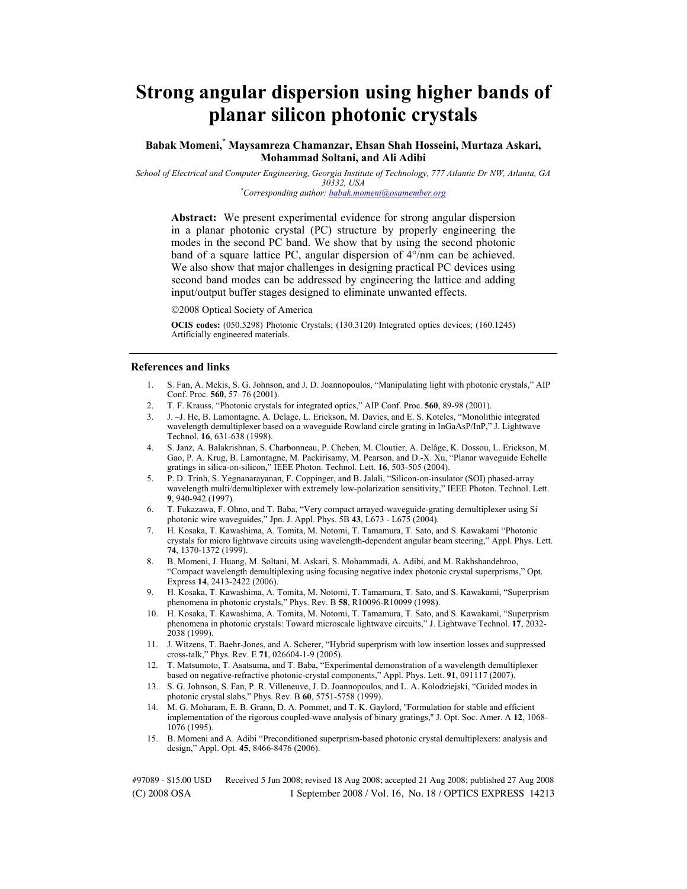# **Strong angular dispersion using higher bands of planar silicon photonic crystals**

**Babak Momeni,\* Maysamreza Chamanzar, Ehsan Shah Hosseini, Murtaza Askari, Mohammad Soltani, and Ali Adibi** 

*School of Electrical and Computer Engineering, Georgia Institute of Technology, 777 Atlantic Dr NW, Atlanta, GA 30332, USA \* Corresponding author: babak.momeni@osamember.org*

**Abstract:** We present experimental evidence for strong angular dispersion in a planar photonic crystal (PC) structure by properly engineering the modes in the second PC band. We show that by using the second photonic band of a square lattice PC, angular dispersion of 4°/nm can be achieved. We also show that major challenges in designing practical PC devices using second band modes can be addressed by engineering the lattice and adding input/output buffer stages designed to eliminate unwanted effects.

2008 Optical Society of America

**OCIS codes:** (050.5298) Photonic Crystals; (130.3120) Integrated optics devices; (160.1245) Artificially engineered materials.

#### **References and links**

- 1. S. Fan, A. Mekis, S. G. Johnson, and J. D. Joannopoulos, "Manipulating light with photonic crystals," AIP Conf. Proc. **560**, 57–76 (2001).
- 2. T. F. Krauss, "Photonic crystals for integrated optics," AIP Conf. Proc. **560**, 89-98 (2001).
- 3. J. –J. He, B. Lamontagne, A. Delage, L. Erickson, M. Davies, and E. S. Koteles, "Monolithic integrated wavelength demultiplexer based on a waveguide Rowland circle grating in InGaAsP/InP," J. Lightwave Technol. **16**, 631-638 (1998).
- 4. S. Janz, A. Balakrishnan, S. Charbonneau, P. Cheben, M. Cloutier, A. Delâge, K. Dossou, L. Erickson, M. Gao, P. A. Krug, B. Lamontagne, M. Packirisamy, M. Pearson, and D.-X. Xu, "Planar waveguide Echelle gratings in silica-on-silicon," IEEE Photon. Technol. Lett. **16**, 503-505 (2004).
- 5. P. D. Trinh, S. Yegnanarayanan, F. Coppinger, and B. Jalali, "Silicon-on-insulator (SOI) phased-array wavelength multi/demultiplexer with extremely low-polarization sensitivity," IEEE Photon. Technol. Lett. **9**, 940-942 (1997).
- 6. T. Fukazawa, F. Ohno, and T. Baba, "Very compact arrayed-waveguide-grating demultiplexer using Si photonic wire waveguides," Jpn. J. Appl. Phys. 5B **43**, L673 - L675 (2004).
- 7. H. Kosaka, T. Kawashima, A. Tomita, M. Notomi, T. Tamamura, T. Sato, and S. Kawakami "Photonic crystals for micro lightwave circuits using wavelength-dependent angular beam steering," Appl. Phys. Lett. **74**, 1370-1372 (1999).
- 8. B. Momeni, J. Huang, M. Soltani, M. Askari, S. Mohammadi, A. Adibi, and M. Rakhshandehroo, "Compact wavelength demultiplexing using focusing negative index photonic crystal superprisms," Opt. Express **14**, 2413-2422 (2006).
- 9. H. Kosaka, T. Kawashima, A. Tomita, M. Notomi, T. Tamamura, T. Sato, and S. Kawakami, "Superprism phenomena in photonic crystals," Phys. Rev. B **58**, R10096-R10099 (1998).
- 10. H. Kosaka, T. Kawashima, A. Tomita, M. Notomi, T. Tamamura, T. Sato, and S. Kawakami, "Superprism phenomena in photonic crystals: Toward microscale lightwave circuits," J. Lightwave Technol. **17**, 2032- 2038 (1999).
- 11. J. Witzens, T. Baehr-Jones, and A. Scherer, "Hybrid superprism with low insertion losses and suppressed cross-talk," Phys. Rev. E **71**, 026604-1-9 (2005).
- 12. T. Matsumoto, T. Asatsuma, and T. Baba, "Experimental demonstration of a wavelength demultiplexer based on negative-refractive photonic-crystal components," Appl. Phys. Lett. **91**, 091117 (2007).
- 13. S. G. Johnson, S. Fan, P. R. Villeneuve, J. D. Joannopoulos, and L. A. Kolodziejski, "Guided modes in photonic crystal slabs," Phys. Rev. B **60**, 5751-5758 (1999).
- 14. M. G. Moharam, E. B. Grann, D. A. Pommet, and T. K. Gaylord, ''Formulation for stable and efficient implementation of the rigorous coupled-wave analysis of binary gratings,'' J. Opt. Soc. Amer. A **12**, 1068- 1076 (1995).
- 15. B. Momeni and A. Adibi "Preconditioned superprism-based photonic crystal demultiplexers: analysis and design," Appl. Opt. **45**, 8466-8476 (2006).

(C) 2008 OSA 1 September 2008 / Vol. 16, No. 18 / OPTICS EXPRESS 14213 #97089 - \$15.00 USD Received 5 Jun 2008; revised 18 Aug 2008; accepted 21 Aug 2008; published 27 Aug 2008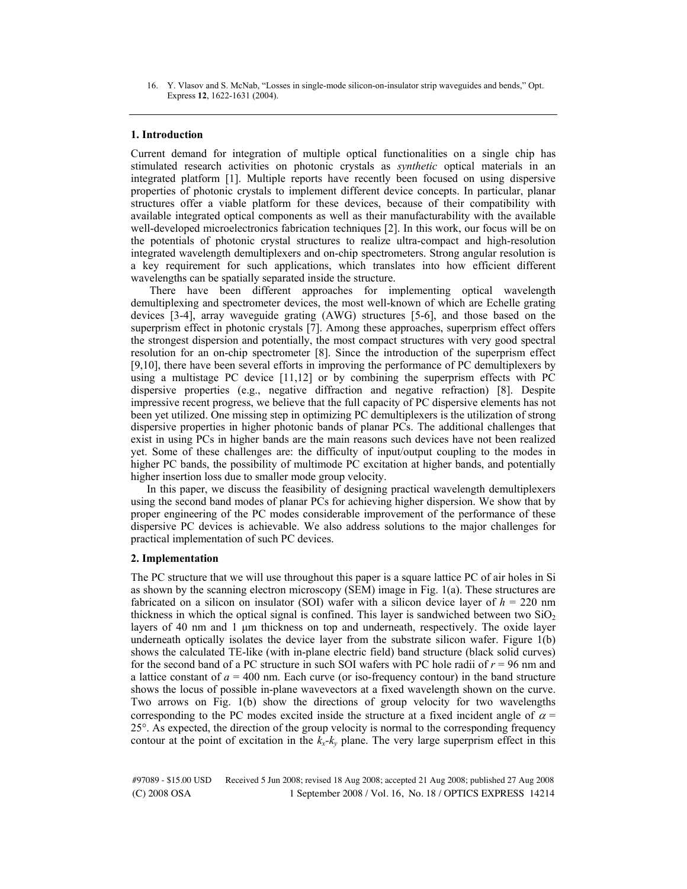16. Y. Vlasov and S. McNab, "Losses in single-mode silicon-on-insulator strip waveguides and bends," Opt. Express **12**, 1622-1631 (2004).

## **1. Introduction**

Current demand for integration of multiple optical functionalities on a single chip has stimulated research activities on photonic crystals as *synthetic* optical materials in an integrated platform [1]. Multiple reports have recently been focused on using dispersive properties of photonic crystals to implement different device concepts. In particular, planar structures offer a viable platform for these devices, because of their compatibility with available integrated optical components as well as their manufacturability with the available well-developed microelectronics fabrication techniques [2]. In this work, our focus will be on the potentials of photonic crystal structures to realize ultra-compact and high-resolution integrated wavelength demultiplexers and on-chip spectrometers. Strong angular resolution is a key requirement for such applications, which translates into how efficient different wavelengths can be spatially separated inside the structure.

 There have been different approaches for implementing optical wavelength demultiplexing and spectrometer devices, the most well-known of which are Echelle grating devices [3-4], array waveguide grating (AWG) structures [5-6], and those based on the superprism effect in photonic crystals [7]. Among these approaches, superprism effect offers the strongest dispersion and potentially, the most compact structures with very good spectral resolution for an on-chip spectrometer [8]. Since the introduction of the superprism effect [9,10], there have been several efforts in improving the performance of PC demultiplexers by using a multistage PC device  $[11,12]$  or by combining the superprism effects with PC dispersive properties (e.g., negative diffraction and negative refraction) [8]. Despite impressive recent progress, we believe that the full capacity of PC dispersive elements has not been yet utilized. One missing step in optimizing PC demultiplexers is the utilization of strong dispersive properties in higher photonic bands of planar PCs. The additional challenges that exist in using PCs in higher bands are the main reasons such devices have not been realized yet. Some of these challenges are: the difficulty of input/output coupling to the modes in higher PC bands, the possibility of multimode PC excitation at higher bands, and potentially higher insertion loss due to smaller mode group velocity.

In this paper, we discuss the feasibility of designing practical wavelength demultiplexers using the second band modes of planar PCs for achieving higher dispersion. We show that by proper engineering of the PC modes considerable improvement of the performance of these dispersive PC devices is achievable. We also address solutions to the major challenges for practical implementation of such PC devices.

### **2. Implementation**

The PC structure that we will use throughout this paper is a square lattice PC of air holes in Si as shown by the scanning electron microscopy (SEM) image in Fig. 1(a). These structures are fabricated on a silicon on insulator (SOI) wafer with a silicon device layer of  $h = 220$  nm thickness in which the optical signal is confined. This layer is sandwiched between two  $SiO<sub>2</sub>$ layers of 40 nm and  $1 \mu m$  thickness on top and underneath, respectively. The oxide layer underneath optically isolates the device layer from the substrate silicon wafer. Figure 1(b) shows the calculated TE-like (with in-plane electric field) band structure (black solid curves) for the second band of a PC structure in such SOI wafers with PC hole radii of  $r = 96$  nm and a lattice constant of  $a = 400$  nm. Each curve (or iso-frequency contour) in the band structure shows the locus of possible in-plane wavevectors at a fixed wavelength shown on the curve. Two arrows on Fig. 1(b) show the directions of group velocity for two wavelengths corresponding to the PC modes excited inside the structure at a fixed incident angle of  $\alpha$  = 25°. As expected, the direction of the group velocity is normal to the corresponding frequency contour at the point of excitation in the  $k_x-k_y$  plane. The very large superprism effect in this

(C) 2008 OSA 1 September 2008 / Vol. 16, No. 18 / OPTICS EXPRESS 14214 #97089 - \$15.00 USD Received 5 Jun 2008; revised 18 Aug 2008; accepted 21 Aug 2008; published 27 Aug 2008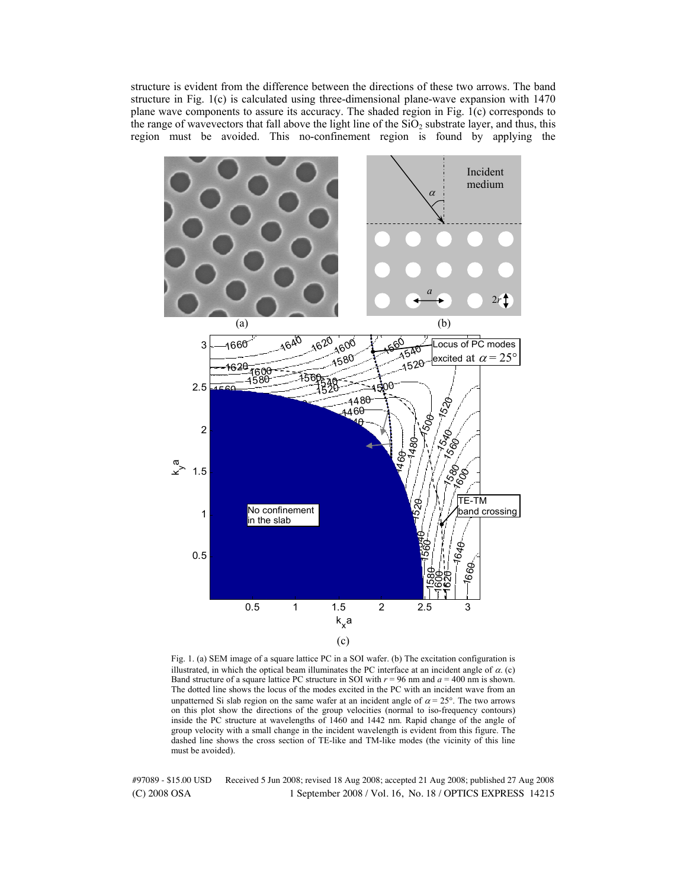structure is evident from the difference between the directions of these two arrows. The band structure in Fig. 1(c) is calculated using three-dimensional plane-wave expansion with 1470 plane wave components to assure its accuracy. The shaded region in Fig.  $\hat{I}(c)$  corresponds to the range of wavevectors that fall above the light line of the  $SiO<sub>2</sub>$  substrate layer, and thus, this region must be avoided. This no-confinement region is found by applying the



Fig. 1. (a) SEM image of a square lattice PC in a SOI wafer. (b) The excitation configuration is illustrated, in which the optical beam illuminates the PC interface at an incident angle of  $\alpha$ . (c) Band structure of a square lattice PC structure in SOI with  $r = 96$  nm and  $a = 400$  nm is shown. The dotted line shows the locus of the modes excited in the PC with an incident wave from an unpatterned Si slab region on the same wafer at an incident angle of  $\alpha = 25^{\circ}$ . The two arrows on this plot show the directions of the group velocities (normal to iso-frequency contours) inside the PC structure at wavelengths of 1460 and 1442 nm. Rapid change of the angle of group velocity with a small change in the incident wavelength is evident from this figure. The dashed line shows the cross section of TE-like and TM-like modes (the vicinity of this line must be avoided).

(C) 2008 OSA 1 September 2008 / Vol. 16, No. 18 / OPTICS EXPRESS 14215 #97089 - \$15.00 USD Received 5 Jun 2008; revised 18 Aug 2008; accepted 21 Aug 2008; published 27 Aug 2008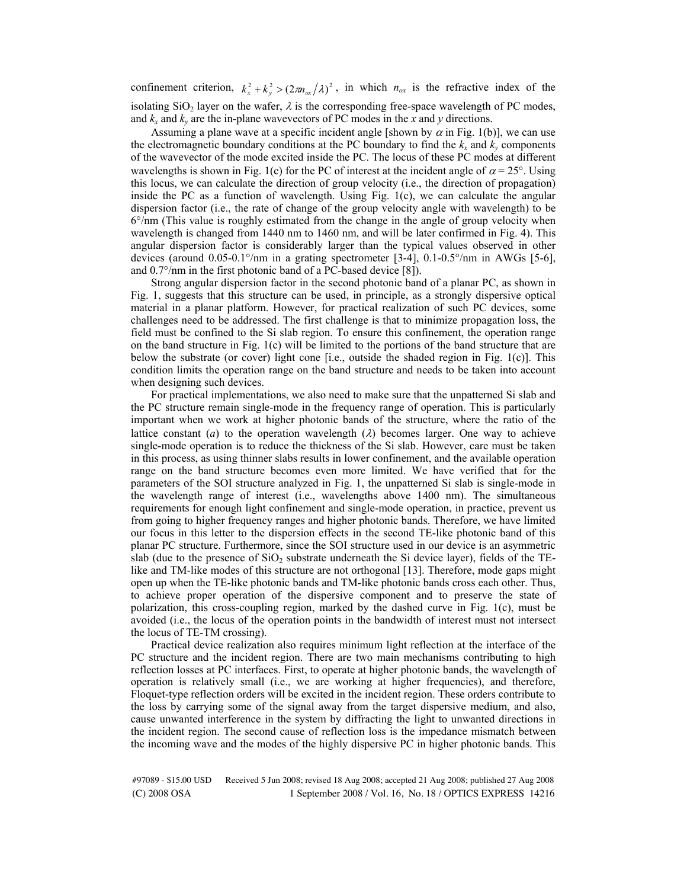confinement criterion,  $k_x^2 + k_y^2 > (2m_{ox}/\lambda)^2$ , in which  $n_{ox}$  is the refractive index of the isolating SiO<sub>2</sub> layer on the wafer,  $\lambda$  is the corresponding free-space wavelength of PC modes, and  $k_x$  and  $k_y$  are the in-plane wavevectors of PC modes in the *x* and *y* directions.

Assuming a plane wave at a specific incident angle [shown by  $\alpha$  in Fig. 1(b)], we can use the electromagnetic boundary conditions at the PC boundary to find the  $k_x$  and  $k_y$  components of the wavevector of the mode excited inside the PC. The locus of these PC modes at different wavelengths is shown in Fig. 1(c) for the PC of interest at the incident angle of  $\alpha = 25^{\circ}$ . Using this locus, we can calculate the direction of group velocity (i.e., the direction of propagation) inside the PC as a function of wavelength. Using Fig. 1(c), we can calculate the angular dispersion factor (i.e., the rate of change of the group velocity angle with wavelength) to be 6°/nm (This value is roughly estimated from the change in the angle of group velocity when wavelength is changed from 1440 nm to 1460 nm, and will be later confirmed in Fig. 4). This angular dispersion factor is considerably larger than the typical values observed in other devices (around 0.05-0.1°/nm in a grating spectrometer [3-4], 0.1-0.5°/nm in AWGs [5-6], and 0.7°/nm in the first photonic band of a PC-based device [8]).

Strong angular dispersion factor in the second photonic band of a planar PC, as shown in Fig. 1, suggests that this structure can be used, in principle, as a strongly dispersive optical material in a planar platform. However, for practical realization of such PC devices, some challenges need to be addressed. The first challenge is that to minimize propagation loss, the field must be confined to the Si slab region. To ensure this confinement, the operation range on the band structure in Fig.  $1(c)$  will be limited to the portions of the band structure that are below the substrate (or cover) light cone [i.e., outside the shaded region in Fig. 1(c)]. This condition limits the operation range on the band structure and needs to be taken into account when designing such devices.

For practical implementations, we also need to make sure that the unpatterned Si slab and the PC structure remain single-mode in the frequency range of operation. This is particularly important when we work at higher photonic bands of the structure, where the ratio of the lattice constant (*a*) to the operation wavelength ( $\lambda$ ) becomes larger. One way to achieve single-mode operation is to reduce the thickness of the Si slab. However, care must be taken in this process, as using thinner slabs results in lower confinement, and the available operation range on the band structure becomes even more limited. We have verified that for the parameters of the SOI structure analyzed in Fig. 1, the unpatterned Si slab is single-mode in the wavelength range of interest (i.e., wavelengths above 1400 nm). The simultaneous requirements for enough light confinement and single-mode operation, in practice, prevent us from going to higher frequency ranges and higher photonic bands. Therefore, we have limited our focus in this letter to the dispersion effects in the second TE-like photonic band of this planar PC structure. Furthermore, since the SOI structure used in our device is an asymmetric slab (due to the presence of  $SiO<sub>2</sub>$  substrate underneath the Si device layer), fields of the TElike and TM-like modes of this structure are not orthogonal [13]. Therefore, mode gaps might open up when the TE-like photonic bands and TM-like photonic bands cross each other. Thus, to achieve proper operation of the dispersive component and to preserve the state of polarization, this cross-coupling region, marked by the dashed curve in Fig. 1(c), must be avoided (i.e., the locus of the operation points in the bandwidth of interest must not intersect the locus of TE-TM crossing).

Practical device realization also requires minimum light reflection at the interface of the PC structure and the incident region. There are two main mechanisms contributing to high reflection losses at PC interfaces. First, to operate at higher photonic bands, the wavelength of operation is relatively small (i.e., we are working at higher frequencies), and therefore, Floquet-type reflection orders will be excited in the incident region. These orders contribute to the loss by carrying some of the signal away from the target dispersive medium, and also, cause unwanted interference in the system by diffracting the light to unwanted directions in the incident region. The second cause of reflection loss is the impedance mismatch between the incoming wave and the modes of the highly dispersive PC in higher photonic bands. This

(C) 2008 OSA 1 September 2008 / Vol. 16, No. 18 / OPTICS EXPRESS 14216 #97089 - \$15.00 USD Received 5 Jun 2008; revised 18 Aug 2008; accepted 21 Aug 2008; published 27 Aug 2008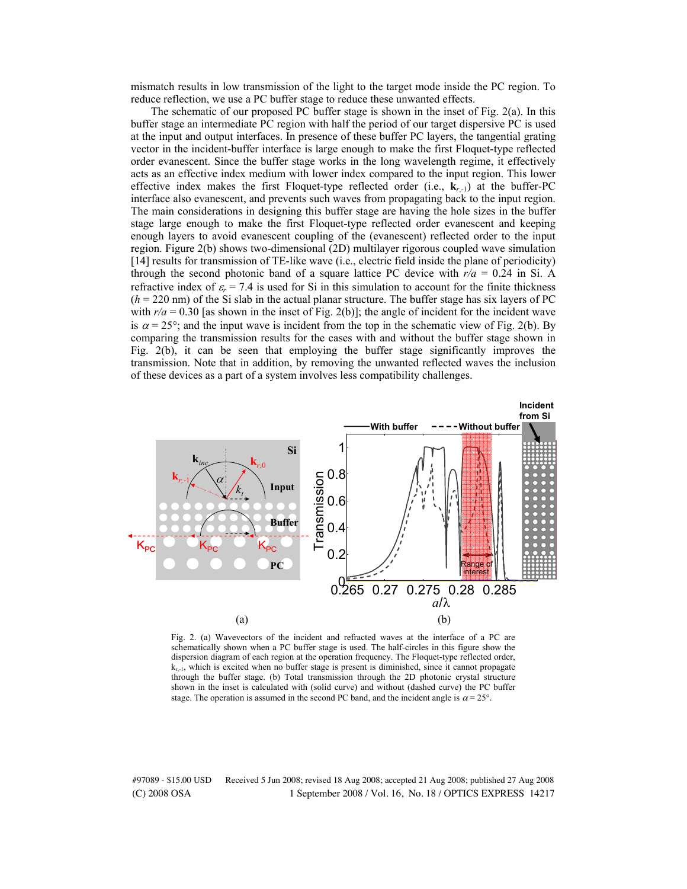mismatch results in low transmission of the light to the target mode inside the PC region. To reduce reflection, we use a PC buffer stage to reduce these unwanted effects.

The schematic of our proposed PC buffer stage is shown in the inset of Fig. 2(a). In this buffer stage an intermediate PC region with half the period of our target dispersive PC is used at the input and output interfaces. In presence of these buffer PC layers, the tangential grating vector in the incident-buffer interface is large enough to make the first Floquet-type reflected order evanescent. Since the buffer stage works in the long wavelength regime, it effectively acts as an effective index medium with lower index compared to the input region. This lower effective index makes the first Floquet-type reflected order (i.e., **k***r*,-1) at the buffer-PC interface also evanescent, and prevents such waves from propagating back to the input region. The main considerations in designing this buffer stage are having the hole sizes in the buffer stage large enough to make the first Floquet-type reflected order evanescent and keeping enough layers to avoid evanescent coupling of the (evanescent) reflected order to the input region. Figure 2(b) shows two-dimensional (2D) multilayer rigorous coupled wave simulation [14] results for transmission of TE-like wave (i.e., electric field inside the plane of periodicity) through the second photonic band of a square lattice PC device with  $r/a = 0.24$  in Si. A refractive index of  $\varepsilon_r = 7.4$  is used for Si in this simulation to account for the finite thickness  $(h = 220 \text{ nm})$  of the Si slab in the actual planar structure. The buffer stage has six layers of PC with  $r/a = 0.30$  [as shown in the inset of Fig. 2(b)]; the angle of incident for the incident wave is  $\alpha = 25^{\circ}$ ; and the input wave is incident from the top in the schematic view of Fig. 2(b). By comparing the transmission results for the cases with and without the buffer stage shown in Fig. 2(b), it can be seen that employing the buffer stage significantly improves the transmission. Note that in addition, by removing the unwanted reflected waves the inclusion of these devices as a part of a system involves less compatibility challenges.



Fig. 2. (a) Wavevectors of the incident and refracted waves at the interface of a PC are schematically shown when a PC buffer stage is used. The half-circles in this figure show the dispersion diagram of each region at the operation frequency. The Floquet-type reflected order,  $k_{r-1}$ , which is excited when no buffer stage is present is diminished, since it cannot propagate through the buffer stage. (b) Total transmission through the 2D photonic crystal structure shown in the inset is calculated with (solid curve) and without (dashed curve) the PC buffer stage. The operation is assumed in the second PC band, and the incident angle is  $\alpha = 25^{\circ}$ .

(C) 2008 OSA 1 September 2008 / Vol. 16, No. 18 / OPTICS EXPRESS 14217 #97089 - \$15.00 USD Received 5 Jun 2008; revised 18 Aug 2008; accepted 21 Aug 2008; published 27 Aug 2008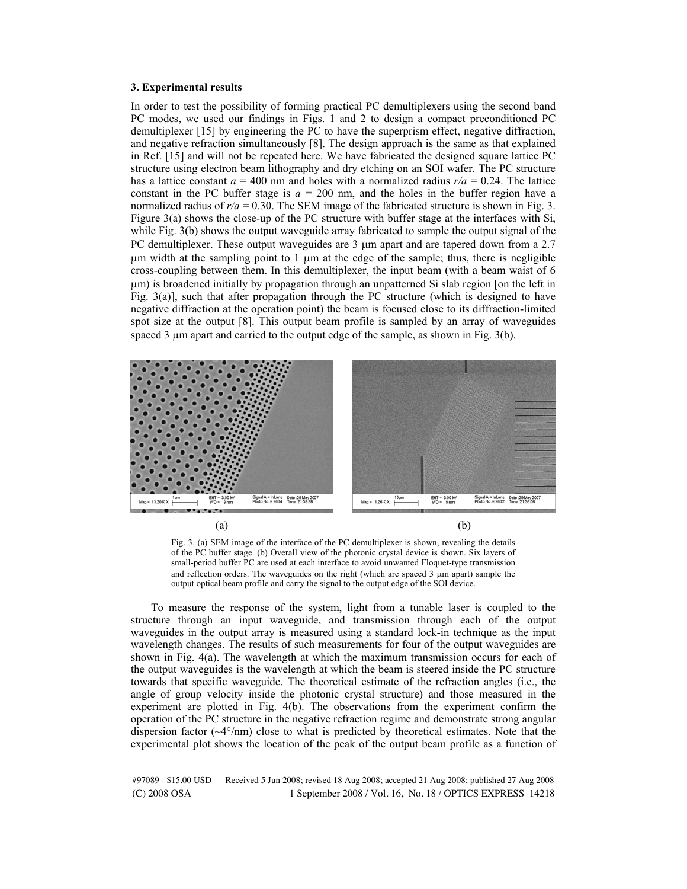#### **3. Experimental results**

In order to test the possibility of forming practical PC demultiplexers using the second band PC modes, we used our findings in Figs. 1 and 2 to design a compact preconditioned PC demultiplexer [15] by engineering the PC to have the superprism effect, negative diffraction, and negative refraction simultaneously [8]. The design approach is the same as that explained in Ref. [15] and will not be repeated here. We have fabricated the designed square lattice PC structure using electron beam lithography and dry etching on an SOI wafer. The PC structure has a lattice constant  $a = 400$  nm and holes with a normalized radius  $r/a = 0.24$ . The lattice constant in the PC buffer stage is  $a = 200$  nm, and the holes in the buffer region have a normalized radius of  $r/a = 0.30$ . The SEM image of the fabricated structure is shown in Fig. 3. Figure 3(a) shows the close-up of the PC structure with buffer stage at the interfaces with Si, while Fig. 3(b) shows the output waveguide array fabricated to sample the output signal of the PC demultiplexer. These output waveguides are  $3 \mu$ m apart and are tapered down from a 2.7  $\mu$ m width at the sampling point to 1  $\mu$ m at the edge of the sample; thus, there is negligible cross-coupling between them. In this demultiplexer, the input beam (with a beam waist of 6  $\mu$ m) is broadened initially by propagation through an unpatterned Si slab region [on the left in Fig. 3(a)], such that after propagation through the PC structure (which is designed to have negative diffraction at the operation point) the beam is focused close to its diffraction-limited spot size at the output [8]. This output beam profile is sampled by an array of waveguides spaced  $3 \mu$ m apart and carried to the output edge of the sample, as shown in Fig. 3(b).



Fig. 3. (a) SEM image of the interface of the PC demultiplexer is shown, revealing the details of the PC buffer stage. (b) Overall view of the photonic crystal device is shown. Six layers of small-period buffer PC are used at each interface to avoid unwanted Floquet-type transmission and reflection orders. The waveguides on the right (which are spaced  $3 \mu m$  apart) sample the output optical beam profile and carry the signal to the output edge of the SOI device.

To measure the response of the system, light from a tunable laser is coupled to the structure through an input waveguide, and transmission through each of the output waveguides in the output array is measured using a standard lock-in technique as the input wavelength changes. The results of such measurements for four of the output waveguides are shown in Fig. 4(a). The wavelength at which the maximum transmission occurs for each of the output waveguides is the wavelength at which the beam is steered inside the PC structure towards that specific waveguide. The theoretical estimate of the refraction angles (i.e., the angle of group velocity inside the photonic crystal structure) and those measured in the experiment are plotted in Fig. 4(b). The observations from the experiment confirm the operation of the PC structure in the negative refraction regime and demonstrate strong angular dispersion factor  $(\sim4^{\circ}/nm)$  close to what is predicted by theoretical estimates. Note that the experimental plot shows the location of the peak of the output beam profile as a function of

(C) 2008 OSA 1 September 2008 / Vol. 16, No. 18 / OPTICS EXPRESS 14218 #97089 - \$15.00 USD Received 5 Jun 2008; revised 18 Aug 2008; accepted 21 Aug 2008; published 27 Aug 2008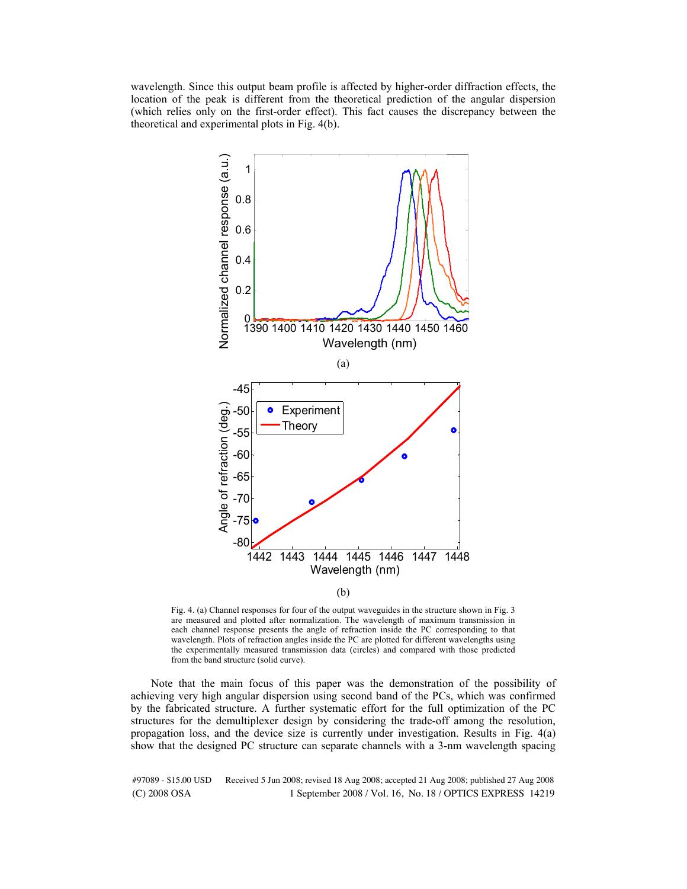wavelength. Since this output beam profile is affected by higher-order diffraction effects, the location of the peak is different from the theoretical prediction of the angular dispersion (which relies only on the first-order effect). This fact causes the discrepancy between the theoretical and experimental plots in Fig. 4(b).



<sup>(</sup>b)

Fig. 4. (a) Channel responses for four of the output waveguides in the structure shown in Fig. 3 are measured and plotted after normalization. The wavelength of maximum transmission in each channel response presents the angle of refraction inside the PC corresponding to that wavelength. Plots of refraction angles inside the PC are plotted for different wavelengths using the experimentally measured transmission data (circles) and compared with those predicted from the band structure (solid curve).

Note that the main focus of this paper was the demonstration of the possibility of achieving very high angular dispersion using second band of the PCs, which was confirmed by the fabricated structure. A further systematic effort for the full optimization of the PC structures for the demultiplexer design by considering the trade-off among the resolution, propagation loss, and the device size is currently under investigation. Results in Fig. 4(a) show that the designed PC structure can separate channels with a 3-nm wavelength spacing

(C) 2008 OSA 1 September 2008 / Vol. 16, No. 18 / OPTICS EXPRESS 14219 #97089 - \$15.00 USD Received 5 Jun 2008; revised 18 Aug 2008; accepted 21 Aug 2008; published 27 Aug 2008